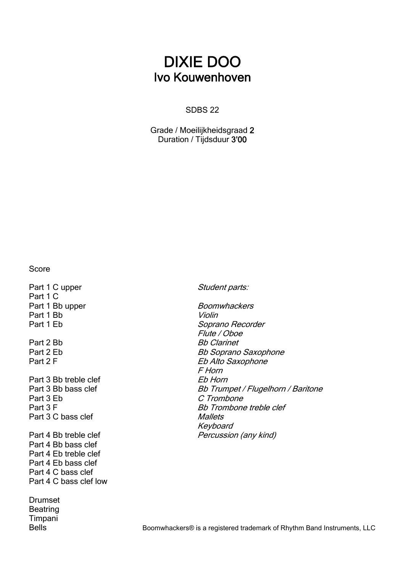## DIXIE DOO Ivo Kouwenhoven

#### SDBS 22

Grade / Moeilijkheidsgraad 2 Duration / Tijdsduur 3'00

Score

Part 1 C upper Student parts: Part 1 C Part 1 Bb upper Boomwhackers Part 1 Bb Violin<br>Part 1 Eb Sopra Part 2 Bb Barnet Part 2 F Eb Alto Saxophone Part 3 Bb treble clef Eb Horn Part 3 Eb C Trombone<br>
Part 3 F Part 3 C bass clef Mallets Part 4 Bb treble clef Percussion (any kind) Part 4 Bb bass clef Part 4 Eb treble clef Part 4 Eb bass clef Part 4 C bass clef Part 4 C bass clef low Drumset **Beatring** Timpani

Soprano Recorder Flute / Oboe Part 2 Eb Bb Soprano Saxophone F Horn Part 3 Bb bass clef Bb Trumpet / Flugelhorn / Baritone<br>Part 3 Eb C Trombone **Bb Trombone treble clef** Keyboard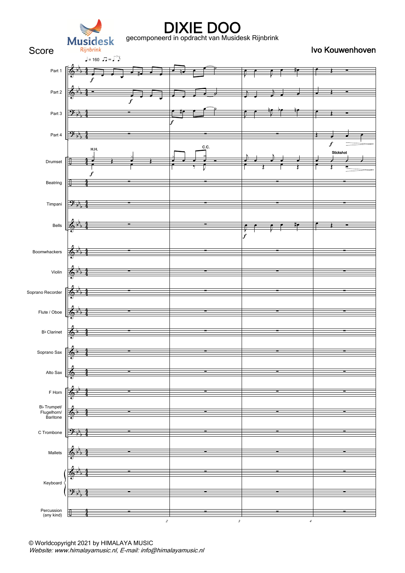

gecomponeerd in opdracht van Musidesk Rijnbrink

Score Rijnbrink Score Register of the Score Rijnbrink Score Rijnbrink Score Register of the Score Rijnbrink Score Register of the Score Rijnbrink Score Register of the Score Rijnbrink Score Register of the Score Rijnbrink

| Part 1                                             |                                          |                  |                                       |                                        |                  |
|----------------------------------------------------|------------------------------------------|------------------|---------------------------------------|----------------------------------------|------------------|
| Part 2                                             |                                          | $\boldsymbol{f}$ |                                       |                                        | J                |
| Part 3                                             | $\mathcal{P}$                            |                  | f                                     |                                        |                  |
| Part 4                                             | $\mathcal{P}_{\mathcal{F}_{\mathbb{F}}}$ |                  |                                       |                                        | $\boldsymbol{f}$ |
| Drumset                                            |                                          | H.H.             | c.c.<br>z<br>$\overline{\mathcal{I}}$ |                                        | Stickshot<br>:   |
| Beatring                                           |                                          | f                |                                       |                                        |                  |
| Timpani                                            | $\mathcal{P}$ if                         |                  |                                       |                                        |                  |
| Bells                                              | $\frac{1}{2}$                            |                  |                                       | $\bar{\mathbf{f}}$<br>$\boldsymbol{f}$ |                  |
| Boomwhackers                                       |                                          |                  |                                       |                                        |                  |
| Violin                                             |                                          |                  |                                       |                                        |                  |
| Soprano Recorder                                   |                                          |                  |                                       |                                        |                  |
| Flute / Oboe                                       |                                          |                  |                                       |                                        | ▬                |
| $\mathsf{B}\flat$ Clarinet                         | $\frac{1}{2}$                            |                  |                                       |                                        |                  |
| Soprano Sax                                        | $\phi$<br>∙                              | -                |                                       | $\blacksquare$                         |                  |
| Alto Sax                                           |                                          |                  |                                       |                                        |                  |
| F Horn                                             |                                          |                  |                                       |                                        |                  |
| B <sub>b</sub> Trumpet/<br>Flugelhorn/<br>Baritone |                                          |                  | -                                     | -                                      | ÷                |
| C Trombone                                         |                                          |                  |                                       | ▄                                      | -                |
| Mallets                                            |                                          |                  |                                       |                                        |                  |
| Keyboard                                           |                                          |                  |                                       |                                        |                  |
|                                                    |                                          |                  |                                       |                                        |                  |
| Percussion<br>(any kind)                           | ▦                                        | $\boldsymbol{2}$ | $\boldsymbol{\beta}$                  | $\boldsymbol{4}$                       |                  |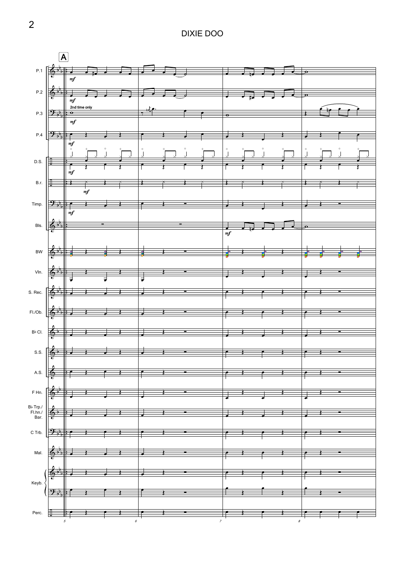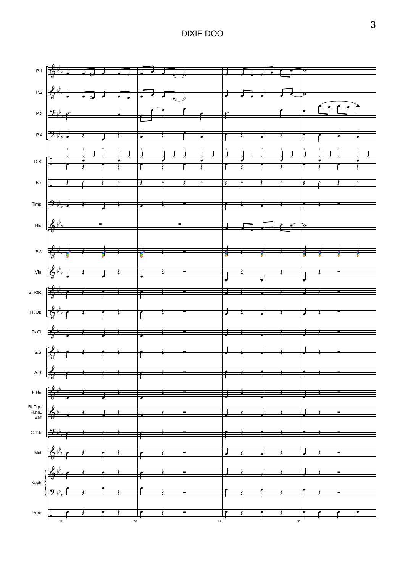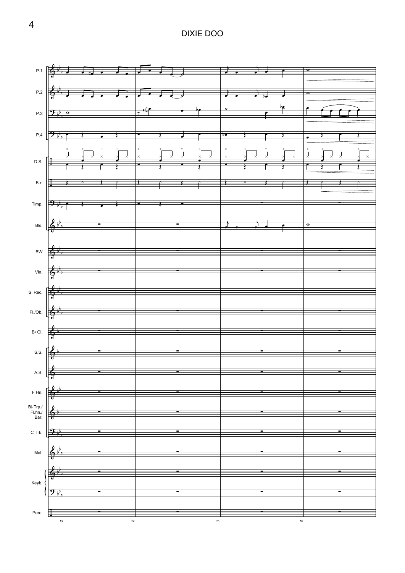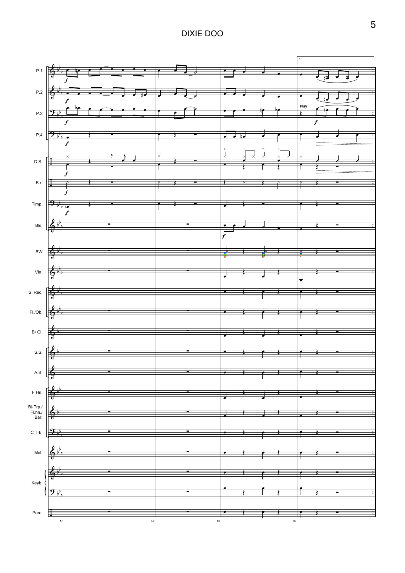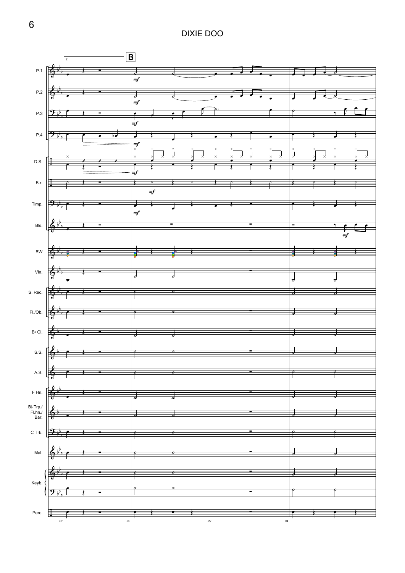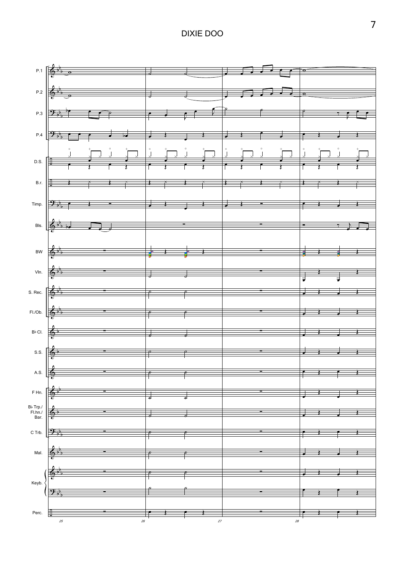

7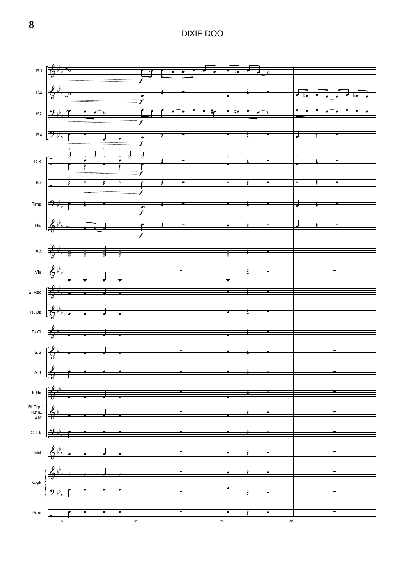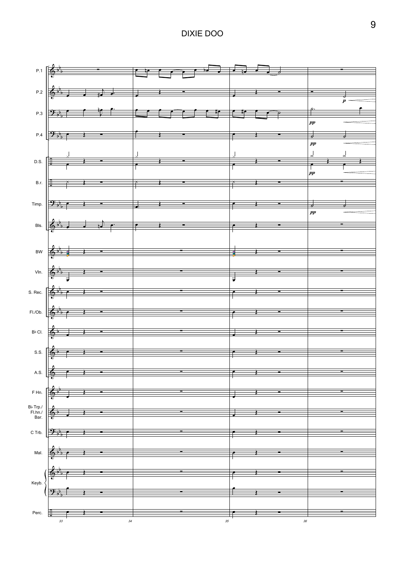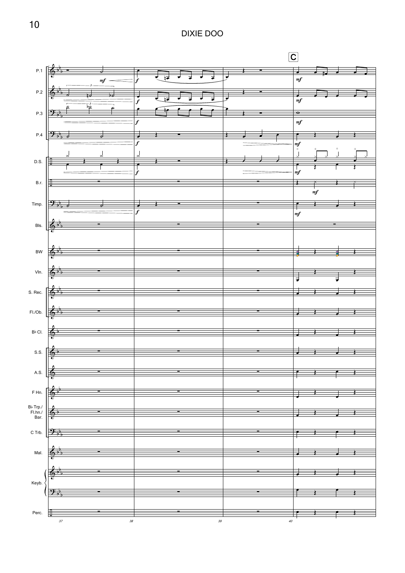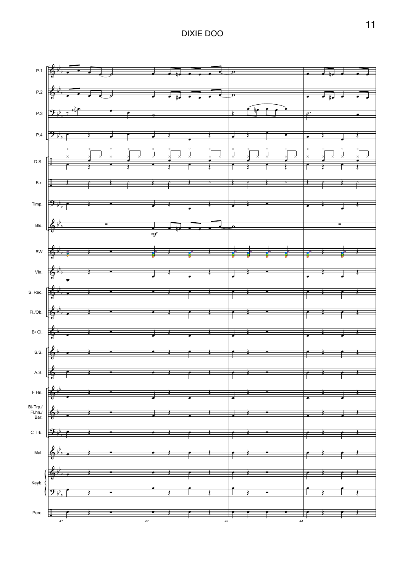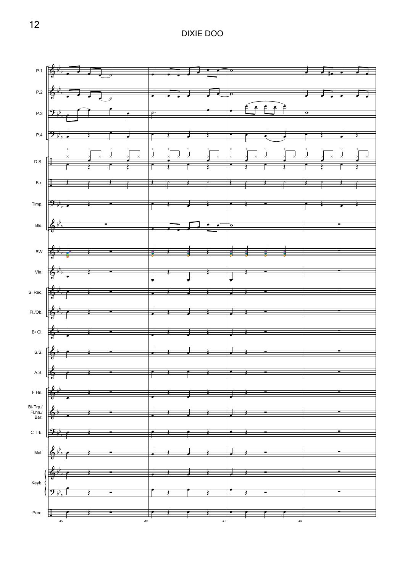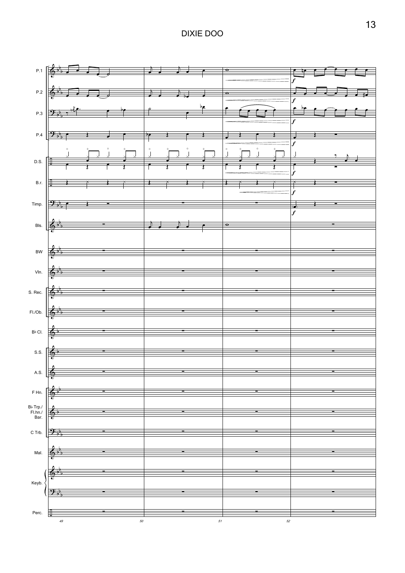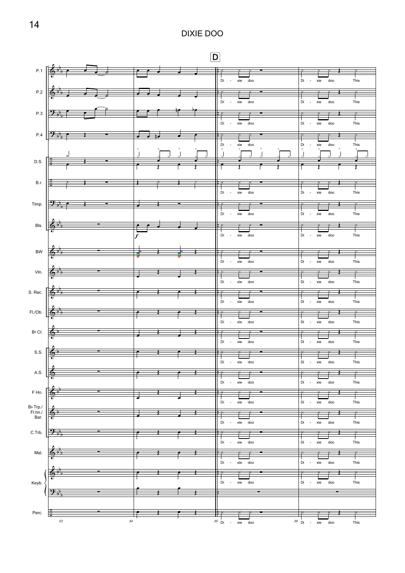## D

|                                                                                                                               |                                                                                                                                                                                                                                                                                                                                                                                                                                    | $P.1$ $\begin{bmatrix} \begin{array}{ccc} 0 & \frac{1}{2} & \frac{1}{2} & \frac{1}{2} & \frac{1}{2} & \frac{1}{2} & \frac{1}{2} & \frac{1}{2} & \frac{1}{2} & \frac{1}{2} & \frac{1}{2} & \frac{1}{2} & \frac{1}{2} & \frac{1}{2} & \frac{1}{2} & \frac{1}{2} & \frac{1}{2} & \frac{1}{2} & \frac{1}{2} & \frac{1}{2} & \frac{1}{2} & \frac{1}{2} & \frac{1}{2} & \frac{1}{2} & \frac{1}{2} & \frac{1}{2$ |            | Di - xie doo                                  | Di - xie<br>doo<br>This                                |
|-------------------------------------------------------------------------------------------------------------------------------|------------------------------------------------------------------------------------------------------------------------------------------------------------------------------------------------------------------------------------------------------------------------------------------------------------------------------------------------------------------------------------------------------------------------------------|-----------------------------------------------------------------------------------------------------------------------------------------------------------------------------------------------------------------------------------------------------------------------------------------------------------------------------------------------------------------------------------------------------------|------------|-----------------------------------------------|--------------------------------------------------------|
|                                                                                                                               | $P.2$ $\left[\frac{1}{2}, \frac{1}{2}, \ldots, \frac{1}{2}\right]$                                                                                                                                                                                                                                                                                                                                                                 |                                                                                                                                                                                                                                                                                                                                                                                                           |            |                                               |                                                        |
|                                                                                                                               | P.3 $\frac{1}{2}$                                                                                                                                                                                                                                                                                                                                                                                                                  | $\begin{array}{ccc} \bullet & \bullet & \bullet \end{array}$                                                                                                                                                                                                                                                                                                                                              | $^{\circ}$ | Di - xie doo                                  | Di - xie<br>This<br>doo                                |
|                                                                                                                               | $P.4$ $\frac{9.1}{9.6}$ $\frac{1}{2}$                                                                                                                                                                                                                                                                                                                                                                                              | لي ل                                                                                                                                                                                                                                                                                                                                                                                                      |            | Di - xie doo                                  | Di<br>- xie<br>doo<br>This                             |
|                                                                                                                               |                                                                                                                                                                                                                                                                                                                                                                                                                                    |                                                                                                                                                                                                                                                                                                                                                                                                           | $\degree$  | Di<br>xie<br>doo<br>$\circ$                   | Di<br>xie<br>This<br>doo                               |
| D.S. $E$                                                                                                                      |                                                                                                                                                                                                                                                                                                                                                                                                                                    |                                                                                                                                                                                                                                                                                                                                                                                                           |            |                                               |                                                        |
| B.r.                                                                                                                          |                                                                                                                                                                                                                                                                                                                                                                                                                                    | ₹                                                                                                                                                                                                                                                                                                                                                                                                         |            |                                               |                                                        |
| Timp.                                                                                                                         | $\rightarrow$                                                                                                                                                                                                                                                                                                                                                                                                                      |                                                                                                                                                                                                                                                                                                                                                                                                           |            | Di - xie doo                                  | $\overline{D}$ i - xie<br>This<br>doo                  |
|                                                                                                                               | Bls. $\left[\begin{array}{ccc} \frac{1}{2} & \frac{1}{2} \\ \frac{1}{2} & \frac{1}{2} \end{array}\right]$                                                                                                                                                                                                                                                                                                                          |                                                                                                                                                                                                                                                                                                                                                                                                           |            | xie doo                                       | $-$ xie<br>Di<br>doo<br>This                           |
|                                                                                                                               |                                                                                                                                                                                                                                                                                                                                                                                                                                    |                                                                                                                                                                                                                                                                                                                                                                                                           |            | Di - xie doo                                  | Di - xie<br>doo<br>This                                |
| BW                                                                                                                            | $\begin{array}{c c c c c} \hline \mathbf{e} & \mathbf{e} & \mathbf{e} & \mathbf{e} & \mathbf{e} \\ \hline \mathbf{e} & \mathbf{e} & \mathbf{e} & \mathbf{e} & \mathbf{e} & \mathbf{e} \\ \hline \mathbf{e} & \mathbf{e} & \mathbf{e} & \mathbf{e} & \mathbf{e} & \mathbf{e} \\ \hline \mathbf{e} & \mathbf{e} & \mathbf{e} & \mathbf{e} & \mathbf{e} & \mathbf{e} \\ \hline \mathbf{e} & \mathbf{e} & \mathbf{e} & \mathbf{e} & \$ |                                                                                                                                                                                                                                                                                                                                                                                                           |            | Di - xie doo                                  | Di - xie<br>doo<br>This                                |
| VIn.                                                                                                                          |                                                                                                                                                                                                                                                                                                                                                                                                                                    |                                                                                                                                                                                                                                                                                                                                                                                                           |            | Di - xie doo                                  | Di - xie<br>doo<br>This                                |
| S. Rec.                                                                                                                       |                                                                                                                                                                                                                                                                                                                                                                                                                                    |                                                                                                                                                                                                                                                                                                                                                                                                           |            |                                               |                                                        |
|                                                                                                                               | FI./Ob. $\begin{array}{ c c }\n\hline\n\end{array}$ $\begin{array}{ c c }\n\hline\n\end{array}$ $\begin{array}{ c c }\n\hline\n\end{array}$                                                                                                                                                                                                                                                                                        | 垂                                                                                                                                                                                                                                                                                                                                                                                                         |            | Di - xie doo                                  | Di - xie<br>doo<br>This                                |
| $\mathsf{B}\flat$ Cl.                                                                                                         | $\leftarrow$ $\leftarrow$ $\leftarrow$ $\leftarrow$                                                                                                                                                                                                                                                                                                                                                                                |                                                                                                                                                                                                                                                                                                                                                                                                           |            | Di - xie doo                                  | Di - xie<br>doo<br>This                                |
| $\frac{2}{9}$<br>S.S.                                                                                                         |                                                                                                                                                                                                                                                                                                                                                                                                                                    | 垂<br>$\overline{\mathcal{L}}$                                                                                                                                                                                                                                                                                                                                                                             |            | Di -<br>xie doo                               | Di - xie<br>doo<br>This                                |
| ۵<br>A.S. $\sqrt{\frac{6}{3}}$                                                                                                |                                                                                                                                                                                                                                                                                                                                                                                                                                    |                                                                                                                                                                                                                                                                                                                                                                                                           |            | Di - xie doo                                  | Di - xie<br>doo<br>This                                |
| $F$ Hn.                                                                                                                       |                                                                                                                                                                                                                                                                                                                                                                                                                                    |                                                                                                                                                                                                                                                                                                                                                                                                           |            | Di - xie doo                                  | Di - xie<br>doo<br>This                                |
|                                                                                                                               | $\blacksquare$                                                                                                                                                                                                                                                                                                                                                                                                                     |                                                                                                                                                                                                                                                                                                                                                                                                           |            | Di - xie doo                                  | Di - xie<br>This<br>doo                                |
| $\begin{array}{c}\n\mathsf{B}^{\flat}$ Trp./ $\left \bigoplus_{\text{Bar.}} \frac{\mathsf{A}}{\mathsf{B}}\right  \end{array}$ |                                                                                                                                                                                                                                                                                                                                                                                                                                    |                                                                                                                                                                                                                                                                                                                                                                                                           |            | Di - xie doo                                  | Di - xie<br>doo<br>This                                |
| C Trb. $\left \frac{\partial \cdot \phi}{\partial \cdot \phi}\right $                                                         |                                                                                                                                                                                                                                                                                                                                                                                                                                    |                                                                                                                                                                                                                                                                                                                                                                                                           |            | ř<br>$\overline{\phantom{a}}$<br>Di - xie doo | Di - xie<br>doo<br>This                                |
| Mal.                                                                                                                          |                                                                                                                                                                                                                                                                                                                                                                                                                                    |                                                                                                                                                                                                                                                                                                                                                                                                           |            | Di - xie doo                                  | Di - xie<br>doo<br>This                                |
| $\frac{2}{9}$<br>Keyb.                                                                                                        |                                                                                                                                                                                                                                                                                                                                                                                                                                    |                                                                                                                                                                                                                                                                                                                                                                                                           |            | .<br>* * * *<br>Di - xie doo                  | $\overline{\vphantom{1}}$<br>₹<br>Di - xie doo<br>This |
|                                                                                                                               |                                                                                                                                                                                                                                                                                                                                                                                                                                    |                                                                                                                                                                                                                                                                                                                                                                                                           |            |                                               |                                                        |
| Perc.<br>冊                                                                                                                    | ٠<br>$53\,$                                                                                                                                                                                                                                                                                                                                                                                                                        | 54                                                                                                                                                                                                                                                                                                                                                                                                        |            | $55$ Di - xie doo                             | $56$ Di - xie doo                                      |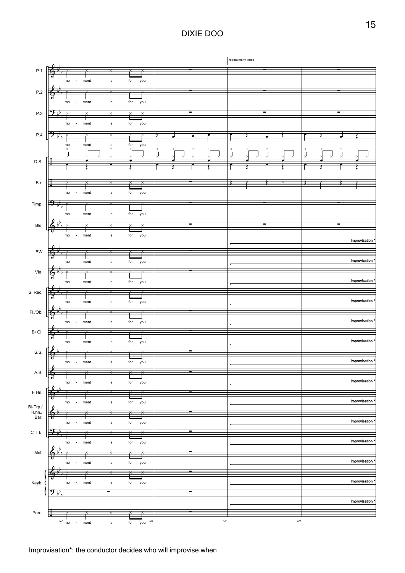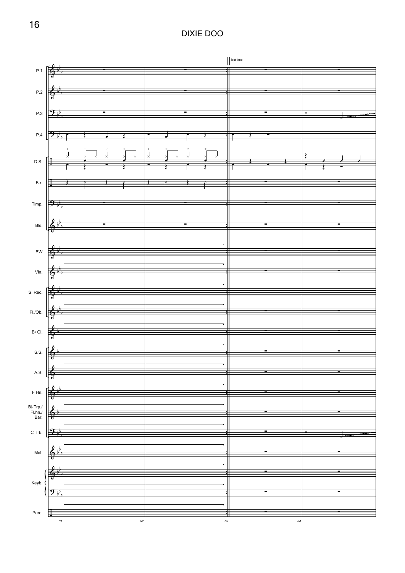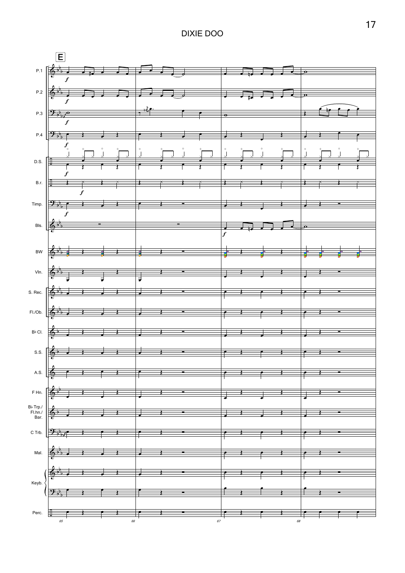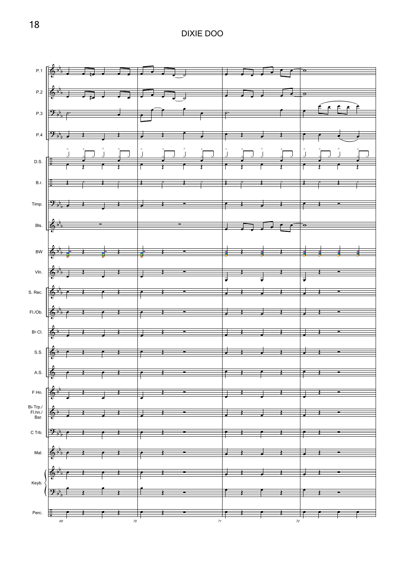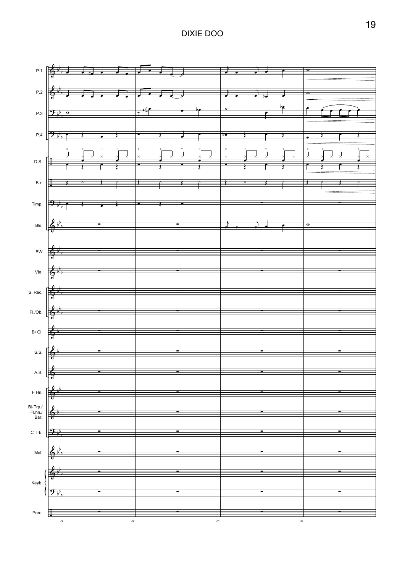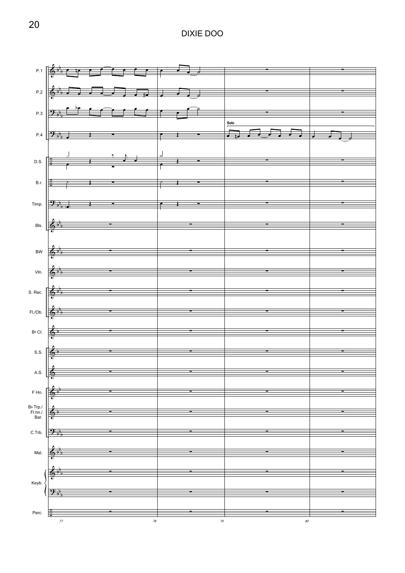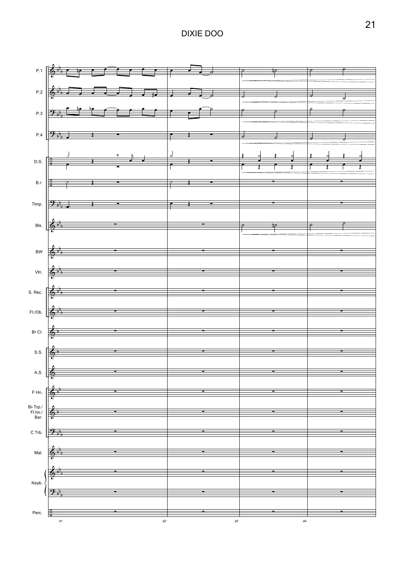